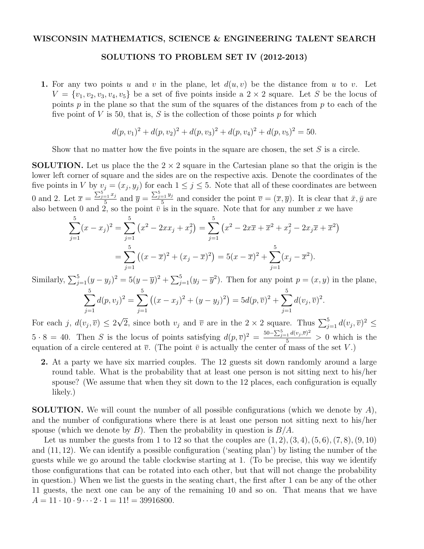## WISCONSIN MATHEMATICS, SCIENCE & ENGINEERING TALENT SEARCH

## SOLUTIONS TO PROBLEM SET IV (2012-2013)

1. For any two points *u* and *v* in the plane, let  $d(u, v)$  be the distance from *u* to *v*. Let  $V = \{v_1, v_2, v_3, v_4, v_5\}$  be a set of five points inside a  $2 \times 2$  square. Let *S* be the locus of points *p* in the plane so that the sum of the squares of the distances from *p* to each of the five point of  $V$  is 50, that is,  $S$  is the collection of those points  $p$  for which

$$
d(p, v_1)^2 + d(p, v_2)^2 + d(p, v_3)^2 + d(p, v_4)^2 + d(p, v_5)^2 = 50.
$$

Show that no matter how the five points in the square are chosen, the set *S* is a circle.

**SOLUTION.** Let us place the the  $2 \times 2$  square in the Cartesian plane so that the origin is the lower left corner of square and the sides are on the respective axis. Denote the coordinates of the five points in *V* by  $v_j = (x_j, y_j)$  for each  $1 \leq j \leq 5$ . Note that all of these coordinates are between 0 and 2. Let  $\overline{x} = \frac{\sum_{j=1}^{5} x_j}{5}$  and  $\overline{y} = \frac{\sum_{j=1}^{5} y_j}{5}$  and consider the point  $\overline{v} = (\overline{x}, \overline{y})$ . It is clear that  $\overline{x}, \overline{y}$  are also between 0 and 2, so the point  $\bar{v}$  is in the square. Note that for any number x we have

$$
\sum_{j=1}^{5} (x - x_j)^2 = \sum_{j=1}^{5} (x^2 - 2xx_j + x_j^2) = \sum_{j=1}^{5} (x^2 - 2x\overline{x} + \overline{x}^2 + x_j^2 - 2x_j\overline{x} + \overline{x}^2)
$$

$$
= \sum_{j=1}^{5} ((x - \overline{x})^2 + (x_j - \overline{x})^2) = 5(x - \overline{x})^2 + \sum_{j=1}^{5} (x_j - \overline{x}^2).
$$

Similarly,  $\sum_{j=1}^{5} (y - y_j)^2 = 5(y - \overline{y})^2 + \sum_{j=1}^{5} (y_j - \overline{y}^2)$ . Then for any point  $p = (x, y)$  in the plane,

$$
\sum_{j=1}^{5} d(p, v_j)^2 = \sum_{j=1}^{5} ((x - x_j)^2 + (y - y_j)^2) = 5d(p, \overline{v})^2 + \sum_{j=1}^{5} d(v_j, \overline{v})^2.
$$

For each *j*,  $d(v_j, \overline{v}) \leq 2\sqrt{2}$ , since both  $v_j$  and  $\overline{v}$  are in the  $2 \times 2$  square. Thus  $\sum_{j=1}^{5} d(v_j, \overline{v})^2 \leq$  $5 \cdot 8 = 40$ . Then *S* is the locus of points satisfying  $d(p, \overline{v})^2 = \frac{50 - \sum_{j=1}^5 d(v_j, \overline{v})^2}{5} > 0$  which is the equation of a circle centered at  $\overline{v}$ . (The point  $\overline{v}$  is actually the center of mass of the set *V*.)

2. At a party we have six married couples. The 12 guests sit down randomly around a large round table. What is the probability that at least one person is not sitting next to his/her spouse? (We assume that when they sit down to the 12 places, each configuration is equally likely.)

SOLUTION. We will count the number of all possible configurations (which we denote by *A*), and the number of configurations where there is at least one person not sitting next to his/her spouse (which we denote by *B*). Then the probability in question is *B/A*.

Let us number the guests from 1 to 12 so that the couples are  $(1, 2)$ ,  $(3, 4)$ ,  $(5, 6)$ ,  $(7, 8)$ ,  $(9, 10)$ and (11*,* 12). We can identify a possible configuration ('seating plan') by listing the number of the guests while we go around the table clockwise starting at 1. (To be precise, this way we identify those configurations that can be rotated into each other, but that will not change the probability in question.) When we list the guests in the seating chart, the first after 1 can be any of the other 11 guests, the next one can be any of the remaining 10 and so on. That means that we have  $A = 11 \cdot 10 \cdot 9 \cdot \cdot \cdot 2 \cdot 1 = 11! = 39916800.$